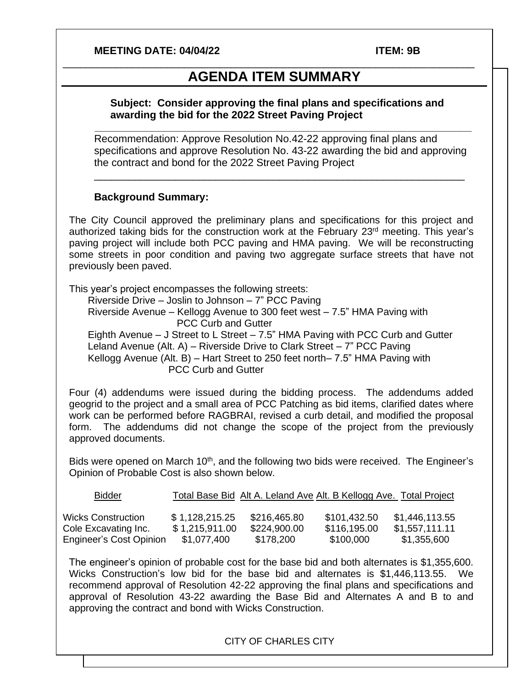#### **MEETING DATE: 04/04/22 ITEM: 9B**

# **AGENDA ITEM SUMMARY**

\_\_\_\_\_\_\_\_\_\_\_\_\_\_\_\_\_\_\_\_\_\_\_\_\_\_\_\_\_\_\_\_\_\_\_\_\_\_\_\_\_\_\_\_\_\_\_\_\_\_\_\_\_\_\_\_\_\_\_\_\_\_\_\_\_\_\_\_\_\_\_

#### **Subject: Consider approving the final plans and specifications and awarding the bid for the 2022 Street Paving Project**

Recommendation: Approve Resolution No.42-22 approving final plans and specifications and approve Resolution No. 43-22 awarding the bid and approving the contract and bond for the 2022 Street Paving Project

\_\_\_\_\_\_\_\_\_\_\_\_\_\_\_\_\_\_\_\_\_\_\_\_\_\_\_\_\_\_\_\_\_\_\_\_\_\_\_\_\_\_\_\_\_\_\_\_\_\_\_\_\_\_\_\_\_\_\_\_\_\_\_\_

**\_\_\_\_\_\_\_\_\_\_\_\_\_\_\_\_\_\_\_\_\_\_\_\_\_\_\_\_\_\_\_\_\_\_\_\_\_\_\_\_\_\_\_\_\_\_\_\_\_\_\_\_\_\_\_\_\_\_\_\_\_\_\_\_\_**

#### **Background Summary:**

The City Council approved the preliminary plans and specifications for this project and authorized taking bids for the construction work at the February 23<sup>rd</sup> meeting. This year's paving project will include both PCC paving and HMA paving. We will be reconstructing some streets in poor condition and paving two aggregate surface streets that have not previously been paved.

This year's project encompasses the following streets: Riverside Drive – Joslin to Johnson – 7" PCC Paving Riverside Avenue – Kellogg Avenue to 300 feet west – 7.5" HMA Paving with PCC Curb and Gutter Eighth Avenue – J Street to L Street – 7.5" HMA Paving with PCC Curb and Gutter Leland Avenue (Alt. A) – Riverside Drive to Clark Street – 7" PCC Paving Kellogg Avenue (Alt. B) – Hart Street to 250 feet north– 7.5" HMA Paving with PCC Curb and Gutter

Four (4) addendums were issued during the bidding process. The addendums added geogrid to the project and a small area of PCC Patching as bid items, clarified dates where work can be performed before RAGBRAI, revised a curb detail, and modified the proposal form. The addendums did not change the scope of the project from the previously approved documents.

Bids were opened on March 10<sup>th</sup>, and the following two bids were received. The Engineer's Opinion of Probable Cost is also shown below.

| <b>Bidder</b>             |                | Total Base Bid Alt A. Leland Ave Alt. B Kellogg Ave. Total Project |              |                |
|---------------------------|----------------|--------------------------------------------------------------------|--------------|----------------|
|                           |                |                                                                    |              |                |
| <b>Wicks Construction</b> | \$1,128,215.25 | \$216,465.80                                                       | \$101.432.50 | \$1,446,113.55 |
| Cole Excavating Inc.      | \$1,215,911.00 | \$224,900.00                                                       | \$116,195.00 | \$1,557,111.11 |
| Engineer's Cost Opinion   | \$1,077,400    | \$178,200                                                          | \$100,000    | \$1,355,600    |

The engineer's opinion of probable cost for the base bid and both alternates is \$1,355,600. Wicks Construction's low bid for the base bid and alternates is \$1,446,113.55. We recommend approval of Resolution 42-22 approving the final plans and specifications and approval of Resolution 43-22 awarding the Base Bid and Alternates A and B to and approving the contract and bond with Wicks Construction.

#### CITY OF CHARLES CITY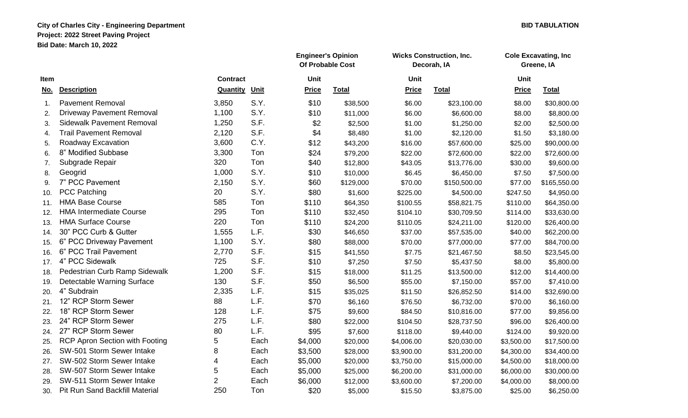## **City of Charles City - Engineering Department BID TABULATION Project: 2022 Street Paving Project Bid Date: March 10, 2022**

|             |                                       |                 |      | <b>Engineer's Opinion</b><br>Of Probable Cost |              | <b>Wicks Construction, Inc.</b><br>Decorah, IA |              | <b>Cole Excavating, Inc</b><br>Greene, IA |              |
|-------------|---------------------------------------|-----------------|------|-----------------------------------------------|--------------|------------------------------------------------|--------------|-------------------------------------------|--------------|
| <b>Item</b> |                                       | <b>Contract</b> |      | Unit                                          |              | Unit                                           |              | Unit                                      |              |
| <u>No.</u>  | <b>Description</b>                    | Quantity        | Unit | <b>Price</b>                                  | <b>Total</b> | <b>Price</b>                                   | <b>Total</b> | <b>Price</b>                              | <b>Total</b> |
| 1.          | <b>Pavement Removal</b>               | 3,850           | S.Y. | \$10                                          | \$38,500     | \$6.00                                         | \$23,100.00  | \$8.00                                    | \$30,800.00  |
| 2.          | <b>Driveway Pavement Removal</b>      | 1,100           | S.Y. | \$10                                          | \$11,000     | \$6.00                                         | \$6,600.00   | \$8.00                                    | \$8,800.00   |
| 3.          | <b>Sidewalk Pavement Removal</b>      | 1,250           | S.F. | \$2                                           | \$2,500      | \$1.00                                         | \$1,250.00   | \$2.00                                    | \$2,500.00   |
| 4.          | <b>Trail Pavement Removal</b>         | 2,120           | S.F. | \$4                                           | \$8,480      | \$1.00                                         | \$2,120.00   | \$1.50                                    | \$3,180.00   |
| 5.          | Roadway Excavation                    | 3,600           | C.Y. | \$12                                          | \$43,200     | \$16.00                                        | \$57,600.00  | \$25.00                                   | \$90,000.00  |
| 6.          | 8" Modified Subbase                   | 3,300           | Ton  | \$24                                          | \$79,200     | \$22.00                                        | \$72,600.00  | \$22.00                                   | \$72,600.00  |
| 7.          | Subgrade Repair                       | 320             | Ton  | \$40                                          | \$12,800     | \$43.05                                        | \$13,776.00  | \$30.00                                   | \$9,600.00   |
| 8.          | Geogrid                               | 1,000           | S.Y. | \$10                                          | \$10,000     | \$6.45                                         | \$6,450.00   | \$7.50                                    | \$7,500.00   |
| 9.          | 7" PCC Pavement                       | 2,150           | S.Y. | \$60                                          | \$129,000    | \$70.00                                        | \$150,500.00 | \$77.00                                   | \$165,550.00 |
| 10.         | <b>PCC Patching</b>                   | 20              | S.Y. | \$80                                          | \$1,600      | \$225.00                                       | \$4,500.00   | \$247.50                                  | \$4,950.00   |
| 11.         | <b>HMA Base Course</b>                | 585             | Ton  | \$110                                         | \$64,350     | \$100.55                                       | \$58,821.75  | \$110.00                                  | \$64,350.00  |
| 12.         | <b>HMA Intermediate Course</b>        | 295             | Ton  | \$110                                         | \$32,450     | \$104.10                                       | \$30,709.50  | \$114.00                                  | \$33,630.00  |
| 13.         | <b>HMA Surface Course</b>             | 220             | Ton  | \$110                                         | \$24,200     | \$110.05                                       | \$24,211.00  | \$120.00                                  | \$26,400.00  |
| 14.         | 30" PCC Curb & Gutter                 | 1,555           | L.F. | \$30                                          | \$46,650     | \$37.00                                        | \$57,535.00  | \$40.00                                   | \$62,200.00  |
| 15.         | 6" PCC Driveway Pavement              | 1,100           | S.Y. | \$80                                          | \$88,000     | \$70.00                                        | \$77,000.00  | \$77.00                                   | \$84,700.00  |
| 16.         | 6" PCC Trail Pavement                 | 2,770           | S.F. | \$15                                          | \$41,550     | \$7.75                                         | \$21,467.50  | \$8.50                                    | \$23,545.00  |
| 17.         | 4" PCC Sidewalk                       | 725             | S.F. | \$10                                          | \$7,250      | \$7.50                                         | \$5,437.50   | \$8.00                                    | \$5,800.00   |
| 18.         | Pedestrian Curb Ramp Sidewalk         | 1,200           | S.F. | \$15                                          | \$18,000     | \$11.25                                        | \$13,500.00  | \$12.00                                   | \$14,400.00  |
| 19.         | Detectable Warning Surface            | 130             | S.F. | \$50                                          | \$6,500      | \$55.00                                        | \$7,150.00   | \$57.00                                   | \$7,410.00   |
| 20.         | 4" Subdrain                           | 2,335           | L.F. | \$15                                          | \$35,025     | \$11.50                                        | \$26,852.50  | \$14.00                                   | \$32,690.00  |
| 21.         | 12" RCP Storm Sewer                   | 88              | L.F. | \$70                                          | \$6,160      | \$76.50                                        | \$6,732.00   | \$70.00                                   | \$6,160.00   |
| 22.         | 18" RCP Storm Sewer                   | 128             | L.F. | \$75                                          | \$9,600      | \$84.50                                        | \$10,816.00  | \$77.00                                   | \$9,856.00   |
| 23.         | 24" RCP Storm Sewer                   | 275             | L.F. | \$80                                          | \$22,000     | \$104.50                                       | \$28,737.50  | \$96.00                                   | \$26,400.00  |
| 24.         | 27" RCP Storm Sewer                   | 80              | L.F. | \$95                                          | \$7,600      | \$118.00                                       | \$9,440.00   | \$124.00                                  | \$9,920.00   |
| 25.         | <b>RCP Apron Section with Footing</b> | 5               | Each | \$4,000                                       | \$20,000     | \$4,006.00                                     | \$20,030.00  | \$3,500.00                                | \$17,500.00  |
| 26.         | SW-501 Storm Sewer Intake             | 8               | Each | \$3,500                                       | \$28,000     | \$3,900.00                                     | \$31,200.00  | \$4,300.00                                | \$34,400.00  |
| 27.         | SW-502 Storm Sewer Intake             | 4               | Each | \$5,000                                       | \$20,000     | \$3,750.00                                     | \$15,000.00  | \$4,500.00                                | \$18,000.00  |
| 28.         | SW-507 Storm Sewer Intake             | 5               | Each | \$5,000                                       | \$25,000     | \$6,200.00                                     | \$31,000.00  | \$6,000.00                                | \$30,000.00  |
| 29.         | SW-511 Storm Sewer Intake             | $\overline{2}$  | Each | \$6,000                                       | \$12,000     | \$3,600.00                                     | \$7,200.00   | \$4,000.00                                | \$8,000.00   |
| 30.         | <b>Pit Run Sand Backfill Material</b> | 250             | Ton  | \$20                                          | \$5,000      | \$15.50                                        | \$3,875.00   | \$25.00                                   | \$6,250.00   |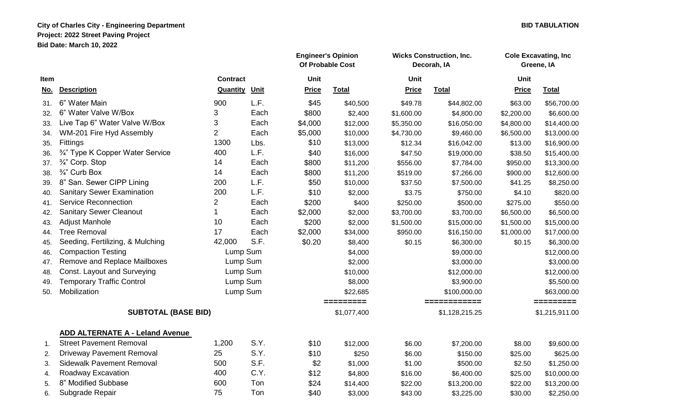## **City of Charles City - Engineering Department BID TABULATION Project: 2022 Street Paving Project Bid Date: March 10, 2022**

|                            |                                        |                 |             | <b>Engineer's Opinion</b><br><b>Of Probable Cost</b> |              | <b>Wicks Construction, Inc.</b><br>Decorah, IA |              | <b>Cole Excavating, Inc.</b><br>Greene, IA |              |
|----------------------------|----------------------------------------|-----------------|-------------|------------------------------------------------------|--------------|------------------------------------------------|--------------|--------------------------------------------|--------------|
| Item                       |                                        | <b>Contract</b> |             | Unit                                                 |              | Unit                                           |              | <b>Unit</b>                                |              |
| No.                        | <b>Description</b>                     | Quantity        | <u>Unit</u> | <b>Price</b>                                         | <b>Total</b> | <b>Price</b>                                   | <b>Total</b> | <b>Price</b>                               | <b>Total</b> |
| 31.                        | 6" Water Main                          | 900             | L.F.        | \$45                                                 | \$40,500     | \$49.78                                        | \$44,802.00  | \$63.00                                    | \$56,700.00  |
| 32.                        | 6" Water Valve W/Box                   | 3               | Each        | \$800                                                | \$2,400      | \$1,600.00                                     | \$4,800.00   | \$2,200.00                                 | \$6,600.00   |
| 33.                        | Live Tap 6" Water Valve W/Box          | 3               | Each        | \$4,000                                              | \$12,000     | \$5,350.00                                     | \$16,050.00  | \$4,800.00                                 | \$14,400.00  |
| 34.                        | WM-201 Fire Hyd Assembly               | $\overline{2}$  | Each        | \$5,000                                              | \$10,000     | \$4,730.00                                     | \$9,460.00   | \$6,500.00                                 | \$13,000.00  |
| 35.                        | Fittings                               | 1300            | Lbs.        | \$10                                                 | \$13,000     | \$12.34                                        | \$16,042.00  | \$13.00                                    | \$16,900.00  |
| 36.                        | 3/4" Type K Copper Water Service       | 400             | L.F.        | \$40                                                 | \$16,000     | \$47.50                                        | \$19,000.00  | \$38.50                                    | \$15,400.00  |
| 37.                        | 3/4" Corp. Stop                        | 14              | Each        | \$800                                                | \$11,200     | \$556.00                                       | \$7,784.00   | \$950.00                                   | \$13,300.00  |
| 38.                        | 3/4" Curb Box                          | 14              | Each        | \$800                                                | \$11,200     | \$519.00                                       | \$7,266.00   | \$900.00                                   | \$12,600.00  |
| 39.                        | 8" San. Sewer CIPP Lining              | 200             | L.F.        | \$50                                                 | \$10,000     | \$37.50                                        | \$7,500.00   | \$41.25                                    | \$8,250.00   |
| 40.                        | <b>Sanitary Sewer Examination</b>      | 200             | L.F.        | \$10                                                 | \$2,000      | \$3.75                                         | \$750.00     | \$4.10                                     | \$820.00     |
| 41.                        | <b>Service Reconnection</b>            | 2               | Each        | \$200                                                | \$400        | \$250.00                                       | \$500.00     | \$275.00                                   | \$550.00     |
| 42.                        | <b>Sanitary Sewer Cleanout</b>         | $\mathbf{1}$    | Each        | \$2,000                                              | \$2,000      | \$3,700.00                                     | \$3,700.00   | \$6,500.00                                 | \$6,500.00   |
| 43.                        | <b>Adjust Manhole</b>                  | 10              | Each        | \$200                                                | \$2,000      | \$1,500.00                                     | \$15,000.00  | \$1,500.00                                 | \$15,000.00  |
| 44.                        | <b>Tree Removal</b>                    | 17              | Each        | \$2,000                                              | \$34,000     | \$950.00                                       | \$16,150.00  | \$1,000.00                                 | \$17,000.00  |
| 45.                        | Seeding, Fertilizing, & Mulching       | 42,000          | S.F.        | \$0.20                                               | \$8,400      | \$0.15                                         | \$6,300.00   | \$0.15                                     | \$6,300.00   |
| 46.                        | <b>Compaction Testing</b>              | Lump Sum        |             |                                                      | \$4,000      |                                                | \$9,000.00   |                                            | \$12,000.00  |
| 47.                        | Remove and Replace Mailboxes           |                 | Lump Sum    |                                                      | \$2,000      |                                                | \$3,000.00   |                                            | \$3,000.00   |
| 48.                        | Const. Layout and Surveying            |                 | Lump Sum    |                                                      | \$10,000     |                                                | \$12,000.00  |                                            | \$12,000.00  |
| 49.                        | <b>Temporary Traffic Control</b>       |                 | Lump Sum    |                                                      | \$8,000      |                                                | \$3,900.00   |                                            | \$5,500.00   |
| 50.                        | Mobilization                           |                 | Lump Sum    |                                                      | \$22,685     |                                                | \$100,000.00 |                                            | \$63,000.00  |
|                            |                                        |                 |             |                                                      | =========    |                                                | ============ |                                            | =========    |
| <b>SUBTOTAL (BASE BID)</b> |                                        |                 |             | \$1,077,400                                          |              | \$1,128,215.25                                 |              | \$1,215,911.00                             |              |
|                            | <b>ADD ALTERNATE A - Leland Avenue</b> |                 |             |                                                      |              |                                                |              |                                            |              |
| 1 <sub>1</sub>             | <b>Street Pavement Removal</b>         | 1,200           | S.Y.        | \$10                                                 | \$12,000     | \$6.00                                         | \$7,200.00   | \$8.00                                     | \$9,600.00   |
| 2.                         | <b>Driveway Pavement Removal</b>       | 25              | S.Y.        | \$10                                                 | \$250        | \$6.00                                         | \$150.00     | \$25.00                                    | \$625.00     |
| 3.                         | <b>Sidewalk Pavement Removal</b>       | 500             | S.F.        | \$2                                                  | \$1,000      | \$1.00                                         | \$500.00     | \$2.50                                     | \$1,250.00   |
| 4.                         | Roadway Excavation                     | 400             | C.Y.        | \$12                                                 | \$4,800      | \$16.00                                        | \$6,400.00   | \$25.00                                    | \$10,000.00  |
| 5.                         | 8" Modified Subbase                    | 600             | Ton         | \$24                                                 | \$14,400     | \$22.00                                        | \$13,200.00  | \$22.00                                    | \$13,200.00  |
| 6.                         | Subgrade Repair                        | 75              | Ton         | \$40                                                 | \$3,000      | \$43.00                                        | \$3,225.00   | \$30.00                                    | \$2,250.00   |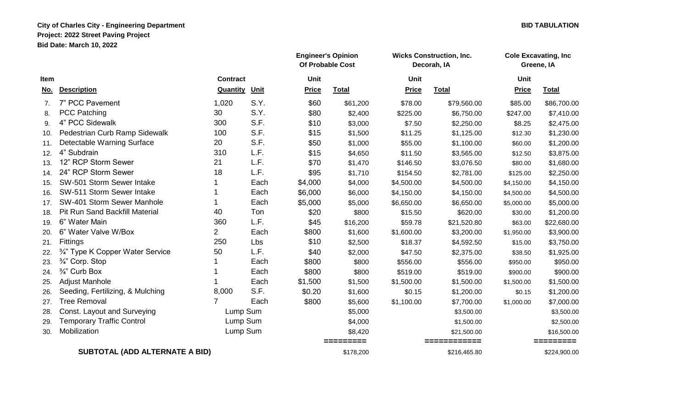## **City of Charles City - Engineering Department BID TABULATION Project: 2022 Street Paving Project Bid Date: March 10, 2022**

|      |                                       |                 | <b>Engineer's Opinion</b><br><b>Of Probable Cost</b> |              |              | <b>Wicks Construction, Inc.</b><br>Decorah, IA |              | <b>Cole Excavating, Inc.</b><br>Greene, IA |              |
|------|---------------------------------------|-----------------|------------------------------------------------------|--------------|--------------|------------------------------------------------|--------------|--------------------------------------------|--------------|
| Item |                                       | <b>Contract</b> |                                                      | <b>Unit</b>  |              | <b>Unit</b>                                    |              | <b>Unit</b>                                |              |
| No.  | <b>Description</b>                    | Quantity        | Unit                                                 | <b>Price</b> | <b>Total</b> | <b>Price</b>                                   | <b>Total</b> | <b>Price</b>                               | <b>Total</b> |
| 7.   | 7" PCC Pavement                       | 1,020           | S.Y.                                                 | \$60         | \$61,200     | \$78.00                                        | \$79,560.00  | \$85.00                                    | \$86,700.00  |
| 8.   | <b>PCC Patching</b>                   | 30              | S.Y.                                                 | \$80         | \$2,400      | \$225.00                                       | \$6,750.00   | \$247.00                                   | \$7,410.00   |
| 9.   | 4" PCC Sidewalk                       | 300             | S.F.                                                 | \$10         | \$3,000      | \$7.50                                         | \$2,250.00   | \$8.25                                     | \$2,475.00   |
| 10.  | Pedestrian Curb Ramp Sidewalk         | 100             | S.F.                                                 | \$15         | \$1,500      | \$11.25                                        | \$1,125.00   | \$12.30                                    | \$1,230.00   |
| 11.  | Detectable Warning Surface            | 20              | S.F.                                                 | \$50         | \$1,000      | \$55.00                                        | \$1,100.00   | \$60.00                                    | \$1,200.00   |
| 12.  | 4" Subdrain                           | 310             | L.F.                                                 | \$15         | \$4,650      | \$11.50                                        | \$3,565.00   | \$12.50                                    | \$3,875.00   |
| 13.  | 12" RCP Storm Sewer                   | 21              | L.F.                                                 | \$70         | \$1,470      | \$146.50                                       | \$3,076.50   | \$80.00                                    | \$1,680.00   |
| 14.  | 24" RCP Storm Sewer                   | 18              | L.F.                                                 | \$95         | \$1,710      | \$154.50                                       | \$2,781.00   | \$125.00                                   | \$2,250.00   |
| 15.  | SW-501 Storm Sewer Intake             |                 | Each                                                 | \$4,000      | \$4,000      | \$4,500.00                                     | \$4,500.00   | \$4,150.00                                 | \$4,150.00   |
| 16.  | SW-511 Storm Sewer Intake             |                 | Each                                                 | \$6,000      | \$6,000      | \$4,150.00                                     | \$4,150.00   | \$4,500.00                                 | \$4,500.00   |
| 17.  | SW-401 Storm Sewer Manhole            |                 | Each                                                 | \$5,000      | \$5,000      | \$6,650.00                                     | \$6,650.00   | \$5,000.00                                 | \$5,000.00   |
| 18.  | <b>Pit Run Sand Backfill Material</b> | 40              | Ton                                                  | \$20         | \$800        | \$15.50                                        | \$620.00     | \$30.00                                    | \$1,200.00   |
| 19.  | 6" Water Main                         | 360             | L.F.                                                 | \$45         | \$16,200     | \$59.78                                        | \$21,520.80  | \$63.00                                    | \$22,680.00  |
| 20.  | 6" Water Valve W/Box                  | $\overline{2}$  | Each                                                 | \$800        | \$1,600      | \$1,600.00                                     | \$3,200.00   | \$1,950.00                                 | \$3,900.00   |
| 21.  | Fittings                              | 250             | Lbs                                                  | \$10         | \$2,500      | \$18.37                                        | \$4,592.50   | \$15.00                                    | \$3,750.00   |
| 22.  | 3/4" Type K Copper Water Service      | 50              | L.F.                                                 | \$40         | \$2,000      | \$47.50                                        | \$2,375.00   | \$38.50                                    | \$1,925.00   |
| 23.  | 3/4" Corp. Stop                       |                 | Each                                                 | \$800        | \$800        | \$556.00                                       | \$556.00     | \$950.00                                   | \$950.00     |
| 24.  | 3/4" Curb Box                         |                 | Each                                                 | \$800        | \$800        | \$519.00                                       | \$519.00     | \$900.00                                   | \$900.00     |
| 25.  | <b>Adjust Manhole</b>                 |                 | Each                                                 | \$1,500      | \$1,500      | \$1,500.00                                     | \$1,500.00   | \$1,500.00                                 | \$1,500.00   |
| 26.  | Seeding, Fertilizing, & Mulching      | 8,000           | S.F.                                                 | \$0.20       | \$1,600      | \$0.15                                         | \$1,200.00   | \$0.15                                     | \$1,200.00   |
| 27.  | <b>Tree Removal</b>                   | 7               | Each                                                 | \$800        | \$5,600      | \$1,100.00                                     | \$7,700.00   | \$1,000.00                                 | \$7,000.00   |
| 28.  | Const. Layout and Surveying           | Lump Sum        |                                                      |              | \$5,000      |                                                | \$3,500.00   |                                            | \$3,500.00   |
| 29.  | <b>Temporary Traffic Control</b>      | Lump Sum        |                                                      |              | \$4,000      |                                                | \$1,500.00   |                                            | \$2,500.00   |
| 30.  | Mobilization                          | Lump Sum        |                                                      |              | \$8,420      |                                                | \$21,500.00  |                                            | \$16,500.00  |
|      |                                       |                 |                                                      |              | =========    |                                                | ============ |                                            | =========    |
|      | <b>SUBTOTAL (ADD ALTERNATE A BID)</b> |                 |                                                      |              | \$178,200    |                                                | \$216,465.80 |                                            | \$224,900.00 |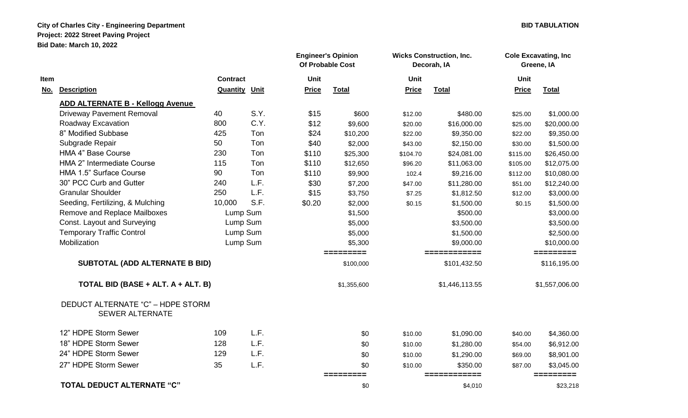## **City of Charles City - Engineering Department City of Charles City - Engineering Department City AID TABULATION Project: 2022 Street Paving Project Bid Date: March 10, 2022**

|            |                                                             |                 |          | <b>Engineer's Opinion</b><br>Of Probable Cost |                        | <b>Wicks Construction, Inc.</b><br>Decorah, IA |                              | <b>Cole Excavating, Inc.</b><br>Greene, IA |                           |
|------------|-------------------------------------------------------------|-----------------|----------|-----------------------------------------------|------------------------|------------------------------------------------|------------------------------|--------------------------------------------|---------------------------|
| ltem       |                                                             | <b>Contract</b> |          | <b>Unit</b>                                   |                        | <b>Unit</b>                                    |                              | <b>Unit</b>                                |                           |
| <u>No.</u> | <b>Description</b>                                          | Quantity        | Unit     | <b>Price</b>                                  | <b>Total</b>           | <b>Price</b>                                   | <b>Total</b>                 | <b>Price</b>                               | <b>Total</b>              |
|            | <b>ADD ALTERNATE B - Kellogg Avenue</b>                     |                 |          |                                               |                        |                                                |                              |                                            |                           |
|            | <b>Driveway Pavement Removal</b>                            | 40              | S.Y.     | \$15                                          | \$600                  | \$12.00                                        | \$480.00                     | \$25.00                                    | \$1,000.00                |
|            | Roadway Excavation                                          | 800             | C.Y.     | \$12                                          | \$9,600                | \$20.00                                        | \$16,000.00                  | \$25.00                                    | \$20,000.00               |
|            | 8" Modified Subbase                                         | 425             | Ton      | \$24                                          | \$10,200               | \$22.00                                        | \$9,350.00                   | \$22.00                                    | \$9,350.00                |
|            | Subgrade Repair                                             | 50              | Ton      | \$40                                          | \$2,000                | \$43.00                                        | \$2,150.00                   | \$30.00                                    | \$1,500.00                |
|            | <b>HMA 4" Base Course</b>                                   | 230             | Ton      | \$110                                         | \$25,300               | \$104.70                                       | \$24,081.00                  | \$115.00                                   | \$26,450.00               |
|            | HMA 2" Intermediate Course                                  | 115             | Ton      | \$110                                         | \$12,650               | \$96.20                                        | \$11,063.00                  | \$105.00                                   | \$12,075.00               |
|            | HMA 1.5" Surface Course                                     | 90              | Ton      | \$110                                         | \$9,900                | 102.4                                          | \$9,216.00                   | \$112.00                                   | \$10,080.00               |
|            | 30" PCC Curb and Gutter                                     | 240             | L.F.     | \$30                                          | \$7,200                | \$47.00                                        | \$11,280.00                  | \$51.00                                    | \$12,240.00               |
|            | <b>Granular Shoulder</b>                                    | 250             | L.F.     | \$15                                          | \$3,750                | \$7.25                                         | \$1,812.50                   | \$12.00                                    | \$3,000.00                |
|            | Seeding, Fertilizing, & Mulching                            | 10,000          | S.F.     | \$0.20                                        | \$2,000                | \$0.15                                         | \$1,500.00                   | \$0.15                                     | \$1,500.00                |
|            | Remove and Replace Mailboxes                                |                 | Lump Sum |                                               | \$1,500                |                                                | \$500.00                     |                                            | \$3,000.00                |
|            | Const. Layout and Surveying                                 |                 | Lump Sum |                                               | \$5,000                |                                                | \$3,500.00                   |                                            | \$3,500.00                |
|            | <b>Temporary Traffic Control</b>                            |                 | Lump Sum |                                               | \$5,000                |                                                | \$1,500.00                   |                                            | \$2,500.00                |
|            | Mobilization                                                |                 | Lump Sum |                                               | \$5,300                |                                                | \$9,000.00                   |                                            | \$10,000.00               |
|            | <b>SUBTOTAL (ADD ALTERNATE B BID)</b>                       |                 |          |                                               | =========<br>\$100,000 |                                                | ============<br>\$101,432.50 |                                            | =========<br>\$116,195.00 |
|            | TOTAL BID (BASE + ALT. A + ALT. B)                          |                 |          |                                               | \$1,355,600            |                                                | \$1,446,113.55               |                                            | \$1,557,006.00            |
|            | DEDUCT ALTERNATE "C" - HDPE STORM<br><b>SEWER ALTERNATE</b> |                 |          |                                               |                        |                                                |                              |                                            |                           |
|            | 12" HDPE Storm Sewer                                        | 109             | L.F.     |                                               | \$0                    | \$10.00                                        | \$1,090.00                   | \$40.00                                    | \$4,360.00                |
|            | 18" HDPE Storm Sewer                                        | 128             | L.F.     |                                               | \$0                    | \$10.00                                        | \$1,280.00                   | \$54.00                                    | \$6,912.00                |
|            | 24" HDPE Storm Sewer                                        | 129             | L.F.     |                                               | \$0                    | \$10.00                                        | \$1,290.00                   | \$69.00                                    | \$8,901.00                |
|            | 27" HDPE Storm Sewer                                        | 35              | L.F.     |                                               | \$0                    | \$10.00                                        | \$350.00                     | \$87.00                                    | \$3,045.00                |
|            | <b>TOTAL DEDUCT ALTERNATE "C"</b>                           |                 |          |                                               | =========<br>\$0       |                                                | ============<br>\$4,010      |                                            | =========<br>\$23,218     |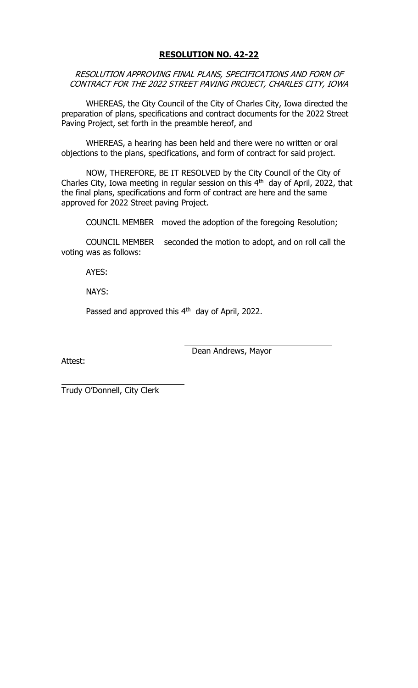# **RESOLUTION NO. 42-22**

RESOLUTION APPROVING FINAL PLANS, SPECIFICATIONS AND FORM OF CONTRACT FOR THE 2022 STREET PAVING PROJECT, CHARLES CITY, IOWA

WHEREAS, the City Council of the City of Charles City, Iowa directed the preparation of plans, specifications and contract documents for the 2022 Street Paving Project, set forth in the preamble hereof, and

WHEREAS, a hearing has been held and there were no written or oral objections to the plans, specifications, and form of contract for said project.

NOW, THEREFORE, BE IT RESOLVED by the City Council of the City of Charles City, Iowa meeting in regular session on this  $4<sup>th</sup>$  day of April, 2022, that the final plans, specifications and form of contract are here and the same approved for 2022 Street paving Project.

COUNCIL MEMBER moved the adoption of the foregoing Resolution;

COUNCIL MEMBER seconded the motion to adopt, and on roll call the voting was as follows:

AYES:

NAYS:

Passed and approved this 4<sup>th</sup> day of April, 2022.

Attest:

Dean Andrews, Mayor

Trudy O'Donnell, City Clerk